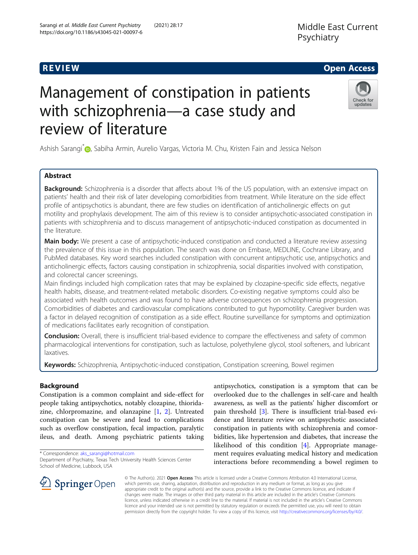# Management of constipation in patients with schizophrenia—a case study and review of literature

Ashish Sarangi<sup>[\\*](http://orcid.org/0000-0003-3176-4006)</sup> , Sabiha Armin, Aurelio Vargas, Victoria M. Chu, Kristen Fain and Jessica Nelson

# Abstract

**Background:** Schizophrenia is a disorder that affects about 1% of the US population, with an extensive impact on patients' health and their risk of later developing comorbidities from treatment. While literature on the side effect profile of antipsychotics is abundant, there are few studies on identification of anticholinergic effects on gut motility and prophylaxis development. The aim of this review is to consider antipsychotic-associated constipation in patients with schizophrenia and to discuss management of antipsychotic-induced constipation as documented in the literature.

Main body: We present a case of antipsychotic-induced constipation and conducted a literature review assessing the prevalence of this issue in this population. The search was done on Embase, MEDLINE, Cochrane Library, and PubMed databases. Key word searches included constipation with concurrent antipsychotic use, antipsychotics and anticholinergic effects, factors causing constipation in schizophrenia, social disparities involved with constipation, and colorectal cancer screenings.

Main findings included high complication rates that may be explained by clozapine-specific side effects, negative health habits, disease, and treatment-related metabolic disorders. Co-existing negative symptoms could also be associated with health outcomes and was found to have adverse consequences on schizophrenia progression. Comorbidities of diabetes and cardiovascular complications contributed to gut hypomotility. Caregiver burden was a factor in delayed recognition of constipation as a side effect. Routine surveillance for symptoms and optimization of medications facilitates early recognition of constipation.

**Conclusion:** Overall, there is insufficient trial-based evidence to compare the effectiveness and safety of common pharmacological interventions for constipation, such as lactulose, polyethylene glycol, stool softeners, and lubricant laxatives.

Keywords: Schizophrenia, Antipsychotic-induced constipation, Constipation screening, Bowel regimen

# Background

Constipation is a common complaint and side-effect for people taking antipsychotics, notably clozapine, thioridazine, chlorpromazine, and olanzapine [[1,](#page-5-0) [2\]](#page-5-0). Untreated constipation can be severe and lead to complications such as overflow constipation, fecal impaction, paralytic ileus, and death. Among psychiatric patients taking

\* Correspondence: [aks\\_sarangi@hotmail.com](mailto:aks_sarangi@hotmail.com)

**Springer** Open

Department of Psychiatry, Texas Tech University Health Sciences Center School of Medicine, Lubbock, USA

antipsychotics, constipation is a symptom that can be overlooked due to the challenges in self-care and health awareness, as well as the patients' higher discomfort or pain threshold [[3\]](#page-5-0). There is insufficient trial-based evidence and literature review on antipsychotic associated constipation in patients with schizophrenia and comorbidities, like hypertension and diabetes, that increase the likelihood of this condition [\[4](#page-5-0)]. Appropriate management requires evaluating medical history and medication interactions before recommending a bowel regimen to

© The Author(s). 2021 Open Access This article is licensed under a Creative Commons Attribution 4.0 International License, which permits use, sharing, adaptation, distribution and reproduction in any medium or format, as long as you give appropriate credit to the original author(s) and the source, provide a link to the Creative Commons licence, and indicate if changes were made. The images or other third party material in this article are included in the article's Creative Commons licence, unless indicated otherwise in a credit line to the material. If material is not included in the article's Creative Commons licence and your intended use is not permitted by statutory regulation or exceeds the permitted use, you will need to obtain permission directly from the copyright holder. To view a copy of this licence, visit <http://creativecommons.org/licenses/by/4.0/>.



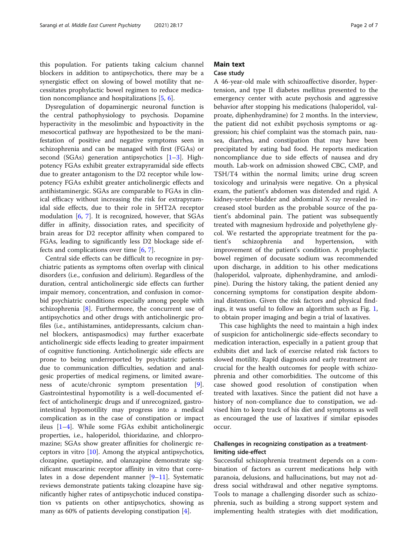this population. For patients taking calcium channel blockers in addition to antipsychotics, there may be a synergistic effect on slowing of bowel motility that necessitates prophylactic bowel regimen to reduce medication noncompliance and hospitalizations [[5,](#page-5-0) [6\]](#page-5-0).

Dysregulation of dopaminergic neuronal function is the central pathophysiology to psychosis. Dopamine hyperactivity in the mesolimbic and hypoactivity in the mesocortical pathway are hypothesized to be the manifestation of positive and negative symptoms seen in schizophrenia and can be managed with first (FGAs) or second (SGAs) generation antipsychotics  $[1-3]$  $[1-3]$  $[1-3]$  $[1-3]$ . Highpotency FGAs exhibit greater extrapyramidal side effects due to greater antagonism to the D2 receptor while lowpotency FGAs exhibit greater anticholinergic effects and antihistaminergic. SGAs are comparable to FGAs in clinical efficacy without increasing the risk for extrapyramidal side effects, due to their role in 5HT2A receptor modulation  $[6, 7]$  $[6, 7]$  $[6, 7]$  $[6, 7]$ . It is recognized, however, that SGAs differ in affinity, dissociation rates, and specificity of brain areas for D2 receptor affinity when compared to FGAs, leading to significantly less D2 blockage side effects and complications over time  $[6, 7]$  $[6, 7]$  $[6, 7]$ .

Central side effects can be difficult to recognize in psychiatric patients as symptoms often overlap with clinical disorders (i.e., confusion and delirium). Regardless of the duration, central anticholinergic side effects can further impair memory, concentration, and confusion in comorbid psychiatric conditions especially among people with schizophrenia [\[8](#page-5-0)]. Furthermore, the concurrent use of antipsychotics and other drugs with anticholinergic profiles (i.e., antihistamines, antidepressants, calcium channel blockers, antispasmodics) may further exacerbate anticholinergic side effects leading to greater impairment of cognitive functioning. Anticholinergic side effects are prone to being underreported by psychiatric patients due to communication difficulties, sedation and analgesic properties of medical regimens, or limited awareness of acute/chronic symptom presentation [\[9](#page-5-0)]. Gastrointestinal hypomotility is a well-documented effect of anticholinergic drugs and if unrecognized, gastrointestinal hypomotility may progress into a medical complication as in the case of constipation or impact ileus [[1](#page-5-0)–[4\]](#page-5-0). While some FGAs exhibit anticholinergic properties, i.e., haloperidol, thioridazine, and chlorpromazine; SGAs show greater affinities for cholinergic receptors in vitro [\[10\]](#page-5-0). Among the atypical antipsychotics, clozapine, quetiapine, and olanzapine demonstrate significant muscarinic receptor affinity in vitro that correlates in a dose dependent manner [[9](#page-5-0)–[11](#page-5-0)]. Systematic reviews demonstrate patients taking clozapine have significantly higher rates of antipsychotic induced constipation vs patients on other antipsychotics, showing as many as 60% of patients developing constipation [\[4](#page-5-0)].

# Main text

### Case study

A 46-year-old male with schizoaffective disorder, hypertension, and type II diabetes mellitus presented to the emergency center with acute psychosis and aggressive behavior after stopping his medications (haloperidol, valproate, diphenhydramine) for 2 months. In the interview, the patient did not exhibit psychosis symptoms or aggression; his chief complaint was the stomach pain, nausea, diarrhea, and constipation that may have been precipitated by eating bad food. He reports medication noncompliance due to side effects of nausea and dry mouth. Lab-work on admission showed CBC, CMP, and TSH/T4 within the normal limits; urine drug screen toxicology and urinalysis were negative. On a physical exam, the patient's abdomen was distended and rigid. A kidney-ureter-bladder and abdominal X-ray revealed increased stool burden as the probable source of the patient's abdominal pain. The patient was subsequently treated with magnesium hydroxide and polyethylene glycol. We restarted the appropriate treatment for the patient's schizophrenia and hypertension, with improvement of the patient's condition. A prophylactic bowel regimen of docusate sodium was recommended upon discharge, in addition to his other medications (haloperidol, valproate, diphenhydramine, and amlodipine). During the history taking, the patient denied any concerning symptoms for constipation despite abdominal distention. Given the risk factors and physical findings, it was useful to follow an algorithm such as Fig. [1](#page-2-0), to obtain proper imaging and begin a trial of laxatives.

This case highlights the need to maintain a high index of suspicion for anticholinergic side-effects secondary to medication interaction, especially in a patient group that exhibits diet and lack of exercise related risk factors to slowed motility. Rapid diagnosis and early treatment are crucial for the health outcomes for people with schizophrenia and other comorbidities. The outcome of this case showed good resolution of constipation when treated with laxatives. Since the patient did not have a history of non-compliance due to constipation, we advised him to keep track of his diet and symptoms as well as encouraged the use of laxatives if similar episodes occur.

# Challenges in recognizing constipation as a treatmentlimiting side-effect

Successful schizophrenia treatment depends on a combination of factors as current medications help with paranoia, delusions, and hallucinations, but may not address social withdrawal and other negative symptoms. Tools to manage a challenging disorder such as schizophrenia, such as building a strong support system and implementing health strategies with diet modification,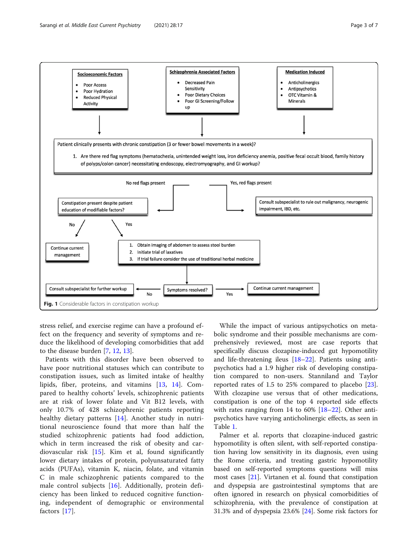<span id="page-2-0"></span>

stress relief, and exercise regime can have a profound effect on the frequency and severity of symptoms and reduce the likelihood of developing comorbidities that add to the disease burden [\[7](#page-5-0), [12](#page-5-0), [13](#page-5-0)].

Patients with this disorder have been observed to have poor nutritional statuses which can contribute to constipation issues, such as limited intake of healthy lipids, fiber, proteins, and vitamins [[13,](#page-5-0) [14\]](#page-5-0). Compared to healthy cohorts' levels, schizophrenic patients are at risk of lower folate and Vit B12 levels, with only 10.7% of 428 schizophrenic patients reporting healthy dietary patterns [[14\]](#page-5-0). Another study in nutritional neuroscience found that more than half the studied schizophrenic patients had food addiction, which in term increased the risk of obesity and cardiovascular risk [[15\]](#page-5-0). Kim et al, found significantly lower dietary intakes of protein, polyunsaturated fatty acids (PUFAs), vitamin K, niacin, folate, and vitamin C in male schizophrenic patients compared to the male control subjects [[16\]](#page-5-0). Additionally, protein deficiency has been linked to reduced cognitive functioning, independent of demographic or environmental factors [[17\]](#page-5-0).

While the impact of various antipsychotics on metabolic syndrome and their possible mechanisms are comprehensively reviewed, most are case reports that specifically discuss clozapine-induced gut hypomotility and life-threatening ileus [\[18](#page-5-0)–[22\]](#page-5-0). Patients using antipsychotics had a 1.9 higher risk of developing constipation compared to non-users. Stanniland and Taylor reported rates of 1.5 to 25% compared to placebo [\[23](#page-6-0)]. With clozapine use versus that of other medications, constipation is one of the top 4 reported side effects with rates ranging from 14 to 60% [[18](#page-5-0)–[22](#page-5-0)]. Other antipsychotics have varying anticholinergic effects, as seen in Table [1.](#page-3-0)

Palmer et al. reports that clozapine-induced gastric hypomotility is often silent, with self-reported constipation having low sensitivity in its diagnosis, even using the Rome criteria, and treating gastric hypomotility based on self-reported symptoms questions will miss most cases [[21\]](#page-5-0). Virtanen et al. found that constipation and dyspepsia are gastrointestinal symptoms that are often ignored in research on physical comorbidities of schizophrenia, with the prevalence of constipation at 31.3% and of dyspepsia 23.6% [[24\]](#page-6-0). Some risk factors for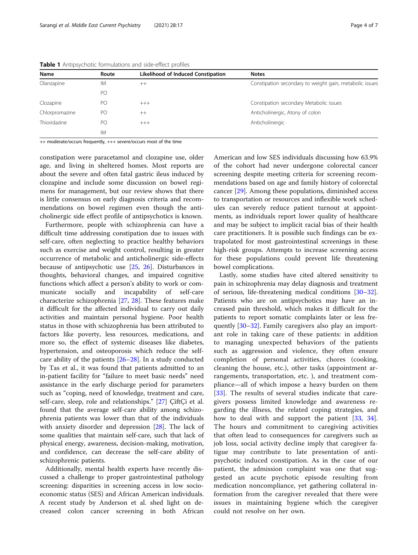| Name           | Route | <b>Likelihood of Induced Constipation</b> | <b>Notes</b>                                            |
|----------------|-------|-------------------------------------------|---------------------------------------------------------|
| Olanzapine     | IМ    | $^{++}$                                   | Constipation secondary to weight gain, metabolic issues |
|                | PO    |                                           |                                                         |
| Clozapine      | PО    | $+++$                                     | Constipation secondary Metabolic issues                 |
| Chlorpromazine | PO    | $++$                                      | Anticholinergic, Atony of colon                         |
| Thioridazine   | PO    | $+++$                                     | Anticholinergic                                         |
|                | IM    |                                           |                                                         |

<span id="page-3-0"></span>Table 1 Antipsychotic formulations and side-effect profiles

++ moderate/occurs frequently, +++ severe/occurs most of the time

constipation were paracetamol and clozapine use, older age, and living in sheltered homes. Most reports are about the severe and often fatal gastric ileus induced by clozapine and include some discussion on bowel regimens for management, but our review shows that there is little consensus on early diagnosis criteria and recommendations on bowel regimen even though the anticholinergic side effect profile of antipsychotics is known.

Furthermore, people with schizophrenia can have a difficult time addressing constipation due to issues with self-care, often neglecting to practice healthy behaviors such as exercise and weight control, resulting in greater occurrence of metabolic and anticholinergic side-effects because of antipsychotic use [\[25](#page-6-0), [26](#page-6-0)]. Disturbances in thoughts, behavioral changes, and impaired cognitive functions which affect a person's ability to work or communicate socially and incapability of self-care characterize schizophrenia [[27,](#page-6-0) [28](#page-6-0)]. These features make it difficult for the affected individual to carry out daily activities and maintain personal hygiene. Poor health status in those with schizophrenia has been attributed to factors like poverty, less resources, medications, and more so, the effect of systemic diseases like diabetes, hypertension, and osteoporosis which reduce the selfcare ability of the patients [[26](#page-6-0)–[28](#page-6-0)]. In a study conducted by Tas et al., it was found that patients admitted to an in-patient facility for "failure to meet basic needs" need assistance in the early discharge period for parameters such as "coping, need of knowledge, treatment and care, self-care, sleep, role and relationships." [\[27](#page-6-0)] ÇiftÇi et al. found that the average self-care ability among schizophrenia patients was lower than that of the individuals with anxiety disorder and depression [\[28](#page-6-0)]. The lack of some qualities that maintain self-care, such that lack of physical energy, awareness, decision-making, motivation, and confidence, can decrease the self-care ability of schizophrenic patients.

Additionally, mental health experts have recently discussed a challenge to proper gastrointestinal pathology screening: disparities in screening access in low socioeconomic status (SES) and African American individuals. A recent study by Anderson et al. shed light on decreased colon cancer screening in both African American and low SES individuals discussing how 63.9% of the cohort had never undergone colorectal cancer screening despite meeting criteria for screening recommendations based on age and family history of colorectal cancer [\[29](#page-6-0)]. Among these populations, diminished access to transportation or resources and inflexible work schedules can severely reduce patient turnout at appointments, as individuals report lower quality of healthcare and may be subject to implicit racial bias of their health care practitioners. It is possible such findings can be extrapolated for most gastrointestinal screenings in these high-risk groups. Attempts to increase screening access for these populations could prevent life threatening bowel complications.

Lastly, some studies have cited altered sensitivity to pain in schizophrenia may delay diagnosis and treatment of serious, life-threatening medical conditions [[30](#page-6-0)–[32](#page-6-0)]. Patients who are on antipsychotics may have an increased pain threshold, which makes it difficult for the patients to report somatic complaints later or less frequently [\[30](#page-6-0)–[32\]](#page-6-0). Family caregivers also play an important role in taking care of these patients: in addition to managing unexpected behaviors of the patients such as aggression and violence, they often ensure completion of personal activities, chores (cooking, cleaning the house, etc.), other tasks (appointment arrangements, transportation, etc. ), and treatment compliance—all of which impose a heavy burden on them [[33\]](#page-6-0). The results of several studies indicate that caregivers possess limited knowledge and awareness regarding the illness, the related coping strategies, and how to deal with and support the patient [[33](#page-6-0), [34](#page-6-0)]. The hours and commitment to caregiving activities that often lead to consequences for caregivers such as job loss, social activity decline imply that caregiver fatigue may contribute to late presentation of antipsychotic induced constipation. As in the case of our patient, the admission complaint was one that suggested an acute psychotic episode resulting from medication noncompliance, yet gathering collateral information from the caregiver revealed that there were issues in maintaining hygiene which the caregiver could not resolve on her own.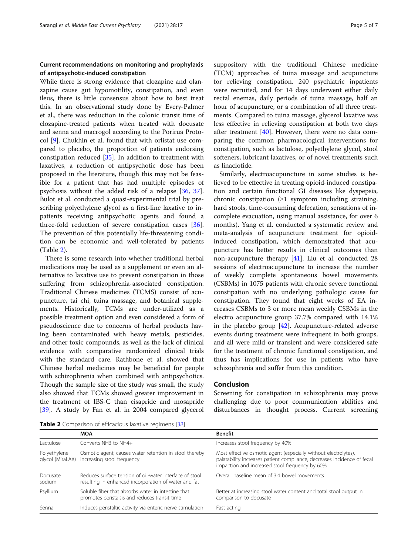# Current recommendations on monitoring and prophylaxis of antipsychotic-induced constipation

While there is strong evidence that clozapine and olanzapine cause gut hypomotility, constipation, and even ileus, there is little consensus about how to best treat this. In an observational study done by Every-Palmer et al., there was reduction in the colonic transit time of clozapine-treated patients when treated with docusate and senna and macrogol according to the Porirua Protocol [\[9](#page-5-0)]. Chukhin et al. found that with orlistat use compared to placebo, the proportion of patients endorsing constipation reduced [[35](#page-6-0)]. In addition to treatment with laxatives, a reduction of antipsychotic dose has been proposed in the literature, though this may not be feasible for a patient that has had multiple episodes of psychosis without the added risk of a relapse [[36,](#page-6-0) [37](#page-6-0)]. Bulot et al. conducted a quasi-experimental trial by prescribing polyethylene glycol as a first-line laxative to inpatients receiving antipsychotic agents and found a three-fold reduction of severe constipation cases [\[36](#page-6-0)]. The prevention of this potentially life-threatening condition can be economic and well-tolerated by patients (Table 2).

There is some research into whether traditional herbal medications may be used as a supplement or even an alternative to laxative use to prevent constipation in those suffering from schizophrenia-associated constipation. Traditional Chinese medicines (TCMS) consist of acupuncture, tai chi, tuina massage, and botanical supplements. Historically, TCMs are under-utilized as a possible treatment option and even considered a form of pseudoscience due to concerns of herbal products having been contaminated with heavy metals, pesticides, and other toxic compounds, as well as the lack of clinical evidence with comparative randomized clinical trials with the standard care. Rathbone et al. showed that Chinese herbal medicines may be beneficial for people with schizophrenia when combined with antipsychotics. Though the sample size of the study was small, the study also showed that TCMs showed greater improvement in the treatment of IBS-C than cisapride and mosapride [[39\]](#page-6-0). A study by Fan et al. in 2004 compared glycerol suppository with the traditional Chinese medicine (TCM) approaches of tuina massage and acupuncture for relieving constipation. 240 psychiatric inpatients were recruited, and for 14 days underwent either daily rectal enemas, daily periods of tuina massage, half an hour of acupuncture, or a combination of all three treatments. Compared to tuina massage, glycerol laxative was less effective in relieving constipation at both two days after treatment [[40](#page-6-0)]. However, there were no data comparing the common pharmacological interventions for constipation, such as lactulose, polyethylene glycol, stool softeners, lubricant laxatives, or of novel treatments such as linaclotide.

Similarly, electroacupuncture in some studies is believed to be effective in treating opioid-induced constipation and certain functional GI diseases like dyspepsia, chronic constipation  $(\geq 1$  symptom including straining, hard stools, time-consuming defecation, sensations of incomplete evacuation, using manual assistance, for over 6 months). Yang et al. conducted a systematic review and meta-analysis of acupuncture treatment for opioidinduced constipation, which demonstrated that acupuncture has better results in clinical outcomes than non-acupuncture therapy [\[41\]](#page-6-0). Liu et al. conducted 28 sessions of electroacupuncture to increase the number of weekly complete spontaneous bowel movements (CSBMs) in 1075 patients with chronic severe functional constipation with no underlying pathologic cause for constipation. They found that eight weeks of EA increases CSBMs to 3 or more mean weekly CSBMs in the electro acupuncture group 37.7% compared with 14.1% in the placebo group [\[42\]](#page-6-0). Acupuncture-related adverse events during treatment were infrequent in both groups, and all were mild or transient and were considered safe for the treatment of chronic functional constipation, and thus has implications for use in patients who have schizophrenia and suffer from this condition.

#### Conclusion

Screening for constipation in schizophrenia may prove challenging due to poor communication abilities and disturbances in thought process. Current screening

Table 2 Comparison of efficacious laxative regimens [[38](#page-6-0)]

|                                  | <b>MOA</b>                                                                                                      | <b>Benefit</b>                                                                                                                                                                               |
|----------------------------------|-----------------------------------------------------------------------------------------------------------------|----------------------------------------------------------------------------------------------------------------------------------------------------------------------------------------------|
| Lactulose                        | Converts NH3 to NH4+                                                                                            | Increases stool frequency by 40%                                                                                                                                                             |
| Polyethylene<br>glycol (MiraLAX) | Osmotic agent, causes water retention in stool thereby<br>increasing stool frequency                            | Most effective osmotic agent (especially without electrolytes),<br>palatability increases patient compliance, decreases incidence of fecal<br>impaction and increased stool frequency by 60% |
| Docusate<br>sodium               | Reduces surface tension of oil-water interface of stool<br>resulting in enhanced incorporation of water and fat | Overall baseline mean of 3.4 bowel movements                                                                                                                                                 |
| Psyllium                         | Soluble fiber that absorbs water in intestine that<br>promotes peristalsis and reduces transit time             | Better at increasing stool water content and total stool output in<br>comparison to docusate                                                                                                 |
| Senna                            | Induces peristaltic activity via enteric nerve stimulation                                                      | Fast acting                                                                                                                                                                                  |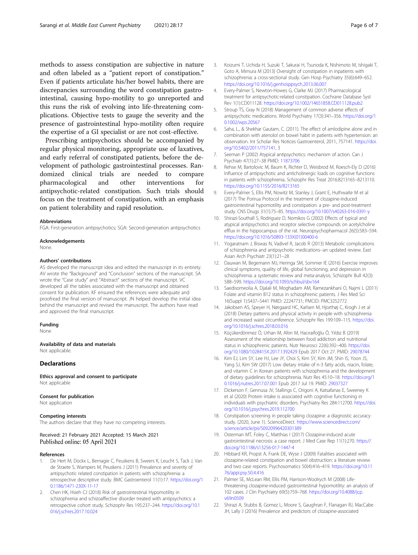<span id="page-5-0"></span>methods to assess constipation are subjective in nature and often labeled as a "patient report of constipation." Even if patients articulate his/her bowel habits, there are discrepancies surrounding the word constipation gastrointestinal, causing hypo-motility to go unreported and this runs the risk of evolving into life-threatening complications. Objective tests to gauge the severity and the presence of gastrointestinal hypo-motility often require the expertise of a GI specialist or are not cost-effective.

Prescribing antipsychotics should be accompanied by regular physical monitoring, appropriate use of laxatives, and early referral of constipated patients, before the development of pathologic gastrointestinal processes. Randomized clinical trials are needed to compare pharmacological and other interventions for antipsychotic-related constipation. Such trials should focus on the treatment of constipation, with an emphasis on patient tolerability and rapid resolution.

#### Abbreviations

FGA: First-generation antipsychotics; SGA: Second-generation antipsychotics

#### Acknowledgements

None.

#### Authors' contributions

AS developed the manuscript idea and edited the manuscript in its entirety. AV wrote the "Background" and "Conclusion" sections of the manuscript. SA wrote the "Case study" and "Abstract" sections of the manuscript. VC developed all the tables associated with the manuscript and obtained consent for publication. KF ensured the references were adequate and proofread the final version of manuscript. JN helped develop the initial idea behind the manuscript and revised the manuscript. The authors have read and approved the final manuscript.

## Funding

None

#### Availability of data and materials

Not applicable

#### Declarations

Ethics approval and consent to participate Not applicable

# Consent for publication

Not application

#### Competing interests

The authors declare that they have no competing interests.

#### Received: 21 February 2021 Accepted: 15 March 2021 Published online: 05 April 2021

#### References

- 1. De Hert M, Dockx L, Bernagie C, Peuskens B, Sweers K, Leucht S, Tack J, Van de Straete S, Wampers M, Peuskens J (2011) Prevalence and severity of antipsychotic related constipation in patients with schizophrenia: a retrospective descriptive study. BMC Gastroenterol 11(1):17. [https://doi.org/1](https://doi.org/10.1186/1471-230X-11-17) [0.1186/1471-230X-11-17](https://doi.org/10.1186/1471-230X-11-17)
- 2. Chen HK, Hsieh CJ (2018) Risk of gastrointestinal Hypomotility in schizophrenia and schizoaffective disorder treated with antipsychotics: a retrospective cohort study. Schizophr Res 195:237–244. [https://doi.org/10.1](https://doi.org/10.1016/j.schres.2017.10.024) [016/j.schres.2017.10.024](https://doi.org/10.1016/j.schres.2017.10.024)
- 3. Koizumi T, Uchida H, Suzuki T, Sakurai H, Tsunoda K, Nishimoto M, Ishigaki T, Goto A, Mimura M (2013) Oversight of constipation in inpatients with schizophrenia: a cross-sectional study. Gen Hosp Psychiatry 35(6):649–652. <https://doi.org/10.1016/j.genhosppsych.2013.06.007>
- 4. Every-Palmer S, Newton-Howes G, Clarke MJ (2017) Pharmacological treatment for antipsychotic-related constipation. Cochrane Database Syst Rev 1(1):CD011128. <https://doi.org/10.1002/14651858.CD011128.pub2>
- 5. Stroup TS, Gray N (2018) Management of common adverse effects of antipsychotic medications. World Psychiatry 17(3):341–356. [https://doi.org/1](https://doi.org/10.1002/wps.20567) [0.1002/wps.20567](https://doi.org/10.1002/wps.20567)
- 6. Saha, L., & Shekhar Gautam, C. (2011). The effect of amlodipine alone and in combination with atenolol on bowel habit in patients with hypertension: an observation. Int Scholar Res Notices Gastroenterol, 2011, 757141. [https://doi.](https://doi.org/10.5402/2011/757141) [org/10.5402/2011/757141,](https://doi.org/10.5402/2011/757141) 3
- 7. Seeman P (2002) Atypical antipsychotics: mechanism of action. Can J Psychiatr 47(1):27–38 PMID: [11873706](https://www.ncbi.nlm.nih.gov/pubmed/11873706)
- 8. Rehse M, Bartolovic M, Baum K, Richter D, Weisbrod M, Roesch-Ely D (2016) Influence of antipsychotic and anticholinergic loads on cognitive functions in patients with schizophrenia. Schizophr Res Treat 2016:8213165–8213110. <https://doi.org/10.1155/2016/8213165>
- 9. Every-Palmer S, Ellis PM, Nowitz M, Stanley J, Grant E, Huthwaite M et al (2017) The Porirua Protocol in the treatment of clozapine-induced gastrointestinal hypomotility and constipation: a pre- and post-treatment study. CNS Drugs 31(1):75–85. <https://doi.org/10.1007/s40263-016-0391-y>
- 10. Shirazi-Southall S, Rodriguez D, Nomikos G (2002) Effects of typical and atypical antipsychotics and receptor selective compounds on acetylcholine efflux in the hippocampus of the rat. Neuropsychopharmacol 26(5):583–594. [https://doi.org/10.1016/S0893-133X\(01\)00400-6](https://doi.org/10.1016/S0893-133X(01)00400-6)
- 11. Yogaratnam J, Biswas N, Vadivel R, Jacob R (2013) Metabolic complications of schizophrenia and antipsychotic medications--an updated review. East Asian Arch Psychiatr 23(1):21–28
- 12. Dauwan M, Begemann MJ, Heringa SM, Sommer IE (2016) Exercise improves clinical symptoms, quality of life, global functioning, and depression in schizophrenia: a systematic review and meta-analysis. Schizophr Bull 42(3): 588–599. <https://doi.org/10.1093/schbul/sbv164>
- 13. Saedisomeolia A, Djalali M, Moghadam AM, Ramezankhani O, Najmi L (2011) Folate and vitamin B12 status in schizophrenic patients. J Res Med Sci 16(Suppl 1):S437–S441 PMID: 22247731; PMCID: PMC3252772
- 14. Jakobsen AS, Speyer H, Nørgaard HC, Karlsen M, Hjorthøj C, Krogh J et al (2018) Dietary patterns and physical activity in people with schizophrenia and increased waist circumference. Schizophr Res 199:109–115. [https://doi.](https://doi.org/10.1016/j.schres.2018.03.016) [org/10.1016/j.schres.2018.03.016](https://doi.org/10.1016/j.schres.2018.03.016)
- 15. Küçükerdönmez Ö, Urhan M, Altın M, Hacıraifoğlu Ö, Yıldız B (2019) Assessment of the relationship between food addiction and nutritional status in schizophrenic patients. Nutr Neurosci 22(6):392–400. [https://doi.](https://doi.org/10.1080/1028415X.2017.1392429) [org/10.1080/1028415X.2017.1392429](https://doi.org/10.1080/1028415X.2017.1392429) Epub 2017 Oct 27. PMID: [29078744](https://www.ncbi.nlm.nih.gov/pubmed/29078744)
- 16. Kim EJ, Lim SY, Lee HJ, Lee JY, Choi S, Kim SY, Kim JM, Shin IS, Yoon JS, Yang SJ, Kim SW (2017) Low dietary intake of n-3 fatty acids, niacin, folate, and vitamin C in Korean patients with schizophrenia and the development of dietary guidelines for schizophrenia. Nutr Res 45:10–18. [https://doi.org/1](https://doi.org/10.1016/j.nutres.2017.07.001) [0.1016/j.nutres.2017.07.001](https://doi.org/10.1016/j.nutres.2017.07.001) Epub 2017 Jul 19. PMID: [29037327](https://www.ncbi.nlm.nih.gov/pubmed/29037327)
- 17. Dickerson F, Gennusa JV, Stallings C, Origoni A, Katsafanas E, Sweeney K et al (2020) Protein intake is associated with cognitive functioning in individuals with psychiatric disorders. Psychiatry Res 284:112700. [https://doi.](https://doi.org/10.1016/j.psychres.2019.112700) [org/10.1016/j.psychres.2019.112700](https://doi.org/10.1016/j.psychres.2019.112700)
- 18. Constipation screening in people taking clozapine: a diagnostic accuracy study. (2020, June 1). ScienceDirect. [https://www.sciencedirect.com/](https://www.sciencedirect.com/science/article/pii/S0920996420301389) [science/article/pii/S0920996420301389](https://www.sciencedirect.com/science/article/pii/S0920996420301389)
- 19. Osterman MT, Foley C, Matthias I (2017) Clozapine-induced acute gastrointestinal necrosis: a case report. J Med Case Rep 11(1):270. [https://](https://doi.org/10.1186/s13256-017-1447-4) [doi.org/10.1186/s13256-017-1447-4](https://doi.org/10.1186/s13256-017-1447-4)
- 20. Hibbard KR, Propst A, Frank DE, Wyse J (2009) Fatalities associated with clozapine-related constipation and bowel obstruction: a literature review and two case reports. Psychosomatics 50(4):416–419. [https://doi.org/10.11](https://doi.org/10.1176/appi.psy.50.4.416) [76/appi.psy.50.4.416](https://doi.org/10.1176/appi.psy.50.4.416)
- 21. Palmer SE, McLean RM, Ellis PM, Harrison-Woolrych M (2008) Lifethreatening clozapine-induced gastrointestinal hypomotility: an analysis of 102 cases. J Clin Psychiatry 69(5):759–768. [https://doi.org/10.4088/jcp.](https://doi.org/10.4088/jcp.v69n0509) [v69n0509](https://doi.org/10.4088/jcp.v69n0509)
- 22. Shirazi A, Stubbs B, Gomez L, Moore S, Gaughran F, Flanagan RJ, MacCabe JH, Lally J (2016) Prevalence and predictors of clozapine-associated